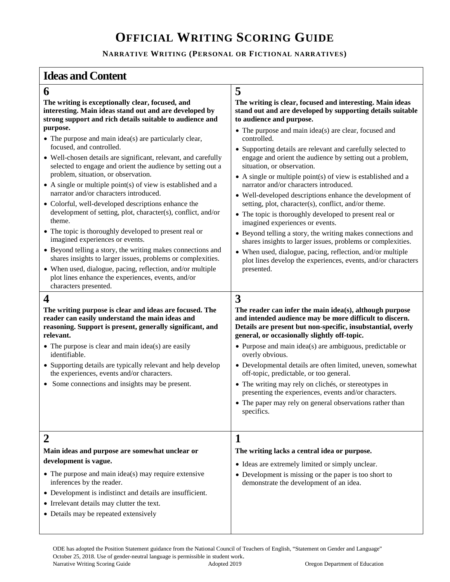## **OFFICIAL WRITING SCORING GUIDE**

### **NARRATIVE WRITING (PERSONAL OR FICTIONAL NARRATIVES)**

### **Ideas and Content**

**relevant.** 

identifiable.

**development is vague.** 

inferences by the reader.

**6 5 The writing is exceptionally clear, focused, and interesting. Main ideas stand out and are developed by strong support and rich details suitable to audience and purpose.** 

- The purpose and main idea(s) are particularly clear, focused, and controlled.
- Well-chosen details are significant, relevant, and carefully selected to engage and orient the audience by setting out a problem, situation, or observation.
- A single or multiple point(s) of view is established and a narrator and/or characters introduced.
- Colorful, well-developed descriptions enhance the development of setting, plot, character(s), conflict, and/or theme.
- The topic is thoroughly developed to present real or imagined experiences or events.
- Beyond telling a story, the writing makes connections and shares insights to larger issues, problems or complexities.
- When used, dialogue, pacing, reflection, and/or multiple plot lines enhance the experiences, events, and/or characters presented.

**The writing purpose is clear and ideas are focused. The reader can easily understand the main ideas and reasoning. Support is present, generally significant, and** 

• Supporting details are typically relevant and help develop

**The writing is clear, focused and interesting. Main ideas stand out and are developed by supporting details suitable to audience and purpose.** 

- The purpose and main idea(s) are clear, focused and controlled.
- Supporting details are relevant and carefully selected to engage and orient the audience by setting out a problem, situation, or observation.
- A single or multiple point(s) of view is established and a narrator and/or characters introduced.
- Well-developed descriptions enhance the development of setting, plot, character(s), conflict, and/or theme.
- The topic is thoroughly developed to present real or imagined experiences or events.
- Beyond telling a story, the writing makes connections and shares insights to larger issues, problems or complexities.
- When used, dialogue, pacing, reflection, and/or multiple plot lines develop the experiences, events, and/or characters presented.

## **4 3**

**The reader can infer the main idea(s), although purpose and intended audience may be more difficult to discern. Details are present but non-specific, insubstantial, overly general, or occasionally slightly off-topic.** 

- Purpose and main idea(s) are ambiguous, predictable or overly obvious.
- Developmental details are often limited, uneven, somewhat off-topic, predictable, or too general.
- Some connections and insights may be present.

• The purpose is clear and main idea(s) are easily

the experiences, events and/or characters.

- The writing may rely on clichés, or stereotypes in presenting the experiences, events and/or characters.
- The paper may rely on general observations rather than specifics.

### **2 1**

**The writing lacks a central idea or purpose.** 

- Ideas are extremely limited or simply unclear.
	- Development is missing or the paper is too short to demonstrate the development of an idea.
- Development is indistinct and details are insufficient.

• The purpose and main idea(s) may require extensive

**Main ideas and purpose are somewhat unclear or** 

- Irrelevant details may clutter the text.
- Details may be repeated extensively

ODE has adopted the Position Statement guidance from the National Council of Teachers of English, "Statement on Gender and Language" October 25, 2018. Use of gender-neutral language is permissible in student work. Narrative Writing Scoring Guide **Adopted 2019** Oregon Department of Education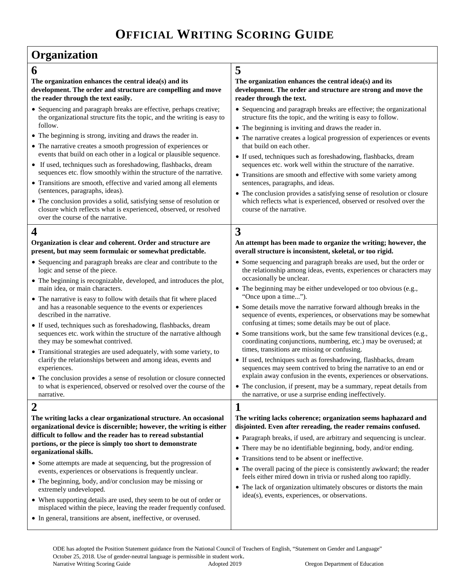## **Organization**

| 6                                                                                                                                                                              | 5                                                                                                                                                                                                        |
|--------------------------------------------------------------------------------------------------------------------------------------------------------------------------------|----------------------------------------------------------------------------------------------------------------------------------------------------------------------------------------------------------|
| The organization enhances the central idea(s) and its<br>development. The order and structure are compelling and move<br>the reader through the text easily.                   | The organization enhances the central idea(s) and its<br>development. The order and structure are strong and move the<br>reader through the text.                                                        |
| • Sequencing and paragraph breaks are effective, perhaps creative;<br>the organizational structure fits the topic, and the writing is easy to<br>follow.                       | • Sequencing and paragraph breaks are effective; the organizational<br>structure fits the topic, and the writing is easy to follow.                                                                      |
| • The beginning is strong, inviting and draws the reader in.                                                                                                                   | • The beginning is inviting and draws the reader in.                                                                                                                                                     |
| • The narrative creates a smooth progression of experiences or<br>events that build on each other in a logical or plausible sequence.                                          | • The narrative creates a logical progression of experiences or events<br>that build on each other.                                                                                                      |
| • If used, techniques such as foreshadowing, flashbacks, dream                                                                                                                 | • If used, techniques such as foreshadowing, flashbacks, dream<br>sequences etc. work well within the structure of the narrative.                                                                        |
| sequences etc. flow smoothly within the structure of the narrative.<br>• Transitions are smooth, effective and varied among all elements                                       | • Transitions are smooth and effective with some variety among<br>sentences, paragraphs, and ideas.                                                                                                      |
| (sentences, paragraphs, ideas).                                                                                                                                                | • The conclusion provides a satisfying sense of resolution or closure                                                                                                                                    |
| • The conclusion provides a solid, satisfying sense of resolution or<br>closure which reflects what is experienced, observed, or resolved<br>over the course of the narrative. | which reflects what is experienced, observed or resolved over the<br>course of the narrative.                                                                                                            |
| $\boldsymbol{4}$                                                                                                                                                               | 3                                                                                                                                                                                                        |
| Organization is clear and coherent. Order and structure are<br>present, but may seem formulaic or somewhat predictable.                                                        | An attempt has been made to organize the writing; however, the<br>overall structure is inconsistent, skeletal, or too rigid.                                                                             |
| • Sequencing and paragraph breaks are clear and contribute to the<br>logic and sense of the piece.                                                                             | • Some sequencing and paragraph breaks are used, but the order or<br>the relationship among ideas, events, experiences or characters may                                                                 |
| • The beginning is recognizable, developed, and introduces the plot,<br>main idea, or main characters.                                                                         | occasionally be unclear.<br>• The beginning may be either undeveloped or too obvious (e.g.,                                                                                                              |
| • The narrative is easy to follow with details that fit where placed<br>and has a reasonable sequence to the events or experiences<br>described in the narrative.              | "Once upon a time").<br>• Some details move the narrative forward although breaks in the<br>sequence of events, experiences, or observations may be somewhat                                             |
| • If used, techniques such as foreshadowing, flashbacks, dream                                                                                                                 | confusing at times; some details may be out of place.                                                                                                                                                    |
| sequences etc. work within the structure of the narrative although<br>they may be somewhat contrived.                                                                          | • Some transitions work, but the same few transitional devices (e.g.,<br>coordinating conjunctions, numbering, etc.) may be overused; at                                                                 |
| • Transitional strategies are used adequately, with some variety, to                                                                                                           | times, transitions are missing or confusing.                                                                                                                                                             |
| clarify the relationships between and among ideas, events and<br>experiences.                                                                                                  | • If used, techniques such as foreshadowing, flashbacks, dream<br>sequences may seem contrived to bring the narrative to an end or<br>explain away confusion in the events, experiences or observations. |
| • The conclusion provides a sense of resolution or closure connected<br>to what is experienced, observed or resolved over the course of the                                    | • The conclusion, if present, may be a summary, repeat details from                                                                                                                                      |
| narrative.                                                                                                                                                                     | the narrative, or use a surprise ending ineffectively.                                                                                                                                                   |
| $\overline{2}$                                                                                                                                                                 | 1                                                                                                                                                                                                        |
| The writing lacks a clear organizational structure. An occasional<br>organizational device is discernible; however, the writing is either                                      | The writing lacks coherence; organization seems haphazard and<br>disjointed. Even after rereading, the reader remains confused.                                                                          |
| difficult to follow and the reader has to reread substantial                                                                                                                   | • Paragraph breaks, if used, are arbitrary and sequencing is unclear.                                                                                                                                    |
| portions, or the piece is simply too short to demonstrate<br>organizational skills.                                                                                            | • There may be no identifiable beginning, body, and/or ending.                                                                                                                                           |
|                                                                                                                                                                                | • Transitions tend to be absent or ineffective.                                                                                                                                                          |
| • Some attempts are made at sequencing, but the progression of<br>events, experiences or observations is frequently unclear.                                                   | • The overall pacing of the piece is consistently awkward; the reader<br>feels either mired down in trivia or rushed along too rapidly.                                                                  |
| • The beginning, body, and/or conclusion may be missing or<br>extremely undeveloped.                                                                                           | • The lack of organization ultimately obscures or distorts the main<br>idea(s), events, experiences, or observations.                                                                                    |
| • When supporting details are used, they seem to be out of order or<br>misplaced within the piece, leaving the reader frequently confused.                                     |                                                                                                                                                                                                          |
| • In general, transitions are absent, ineffective, or overused.                                                                                                                |                                                                                                                                                                                                          |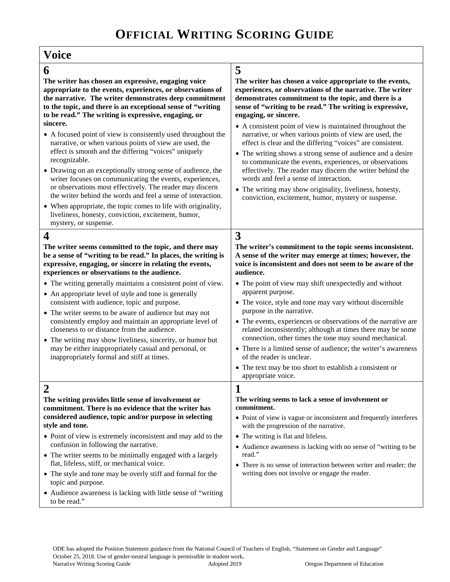| <b>Voice</b>                                                                                                                                                                                                                                                                                                                                                                                                                                                                                                                                                                                                                                                                                                                                                                                                                                                                                                                     |                                                                                                                                                                                                                                                                                                                                                                                                                                                                                                                                                                                                                                                                                                                                                                                                                    |
|----------------------------------------------------------------------------------------------------------------------------------------------------------------------------------------------------------------------------------------------------------------------------------------------------------------------------------------------------------------------------------------------------------------------------------------------------------------------------------------------------------------------------------------------------------------------------------------------------------------------------------------------------------------------------------------------------------------------------------------------------------------------------------------------------------------------------------------------------------------------------------------------------------------------------------|--------------------------------------------------------------------------------------------------------------------------------------------------------------------------------------------------------------------------------------------------------------------------------------------------------------------------------------------------------------------------------------------------------------------------------------------------------------------------------------------------------------------------------------------------------------------------------------------------------------------------------------------------------------------------------------------------------------------------------------------------------------------------------------------------------------------|
| 6<br>The writer has chosen an expressive, engaging voice<br>appropriate to the events, experiences, or observations of<br>the narrative. The writer demonstrates deep commitment<br>to the topic, and there is an exceptional sense of "writing<br>to be read." The writing is expressive, engaging, or<br>sincere.<br>• A focused point of view is consistently used throughout the<br>narrative, or when various points of view are used, the<br>effect is smooth and the differing "voices" uniquely<br>recognizable.<br>• Drawing on an exceptionally strong sense of audience, the<br>writer focuses on communicating the events, experiences,<br>or observations most effectively. The reader may discern<br>the writer behind the words and feel a sense of interaction.<br>• When appropriate, the topic comes to life with originality,<br>liveliness, honesty, conviction, excitement, humor,<br>mystery, or suspense. | 5<br>The writer has chosen a voice appropriate to the events,<br>experiences, or observations of the narrative. The writer<br>demonstrates commitment to the topic, and there is a<br>sense of "writing to be read." The writing is expressive,<br>engaging, or sincere.<br>• A consistent point of view is maintained throughout the<br>narrative, or when various points of view are used, the<br>effect is clear and the differing "voices" are consistent.<br>• The writing shows a strong sense of audience and a desire<br>to communicate the events, experiences, or observations<br>effectively. The reader may discern the writer behind the<br>words and feel a sense of interaction.<br>• The writing may show originality, liveliness, honesty,<br>conviction, excitement, humor, mystery or suspense. |
| 4<br>The writer seems committed to the topic, and there may<br>be a sense of "writing to be read." In places, the writing is<br>expressive, engaging, or sincere in relating the events,<br>experiences or observations to the audience.<br>• The writing generally maintains a consistent point of view.<br>• An appropriate level of style and tone is generally<br>consistent with audience, topic and purpose.<br>• The writer seems to be aware of audience but may not<br>consistently employ and maintain an appropriate level of<br>closeness to or distance from the audience.<br>• The writing may show liveliness, sincerity, or humor but<br>may be either inappropriately casual and personal, or<br>inappropriately formal and stiff at times.                                                                                                                                                                     | 3<br>The writer's commitment to the topic seems inconsistent.<br>A sense of the writer may emerge at times; however, the<br>voice is inconsistent and does not seem to be aware of the<br>audience.<br>• The point of view may shift unexpectedly and without<br>apparent purpose.<br>• The voice, style and tone may vary without discernible<br>purpose in the narrative.<br>• The events, experiences or observations of the narrative are<br>related inconsistently; although at times there may be some<br>connection, other times the tone may sound mechanical.<br>• There is a limited sense of audience; the writer's awareness<br>of the reader is unclear.<br>• The text may be too short to establish a consistent or<br>appropriate voice.                                                            |
| 2<br>The writing provides little sense of involvement or<br>commitment. There is no evidence that the writer has<br>considered audience, topic and/or purpose in selecting<br>style and tone.<br>• Point of view is extremely inconsistent and may add to the<br>confusion in following the narrative.<br>• The writer seems to be minimally engaged with a largely<br>flat, lifeless, stiff, or mechanical voice.<br>• The style and tone may be overly stiff and formal for the<br>topic and purpose.<br>• Audience awareness is lacking with little sense of "writing<br>to be read."                                                                                                                                                                                                                                                                                                                                         | 1<br>The writing seems to lack a sense of involvement or<br>commitment.<br>• Point of view is vague or inconsistent and frequently interferes<br>with the progression of the narrative.<br>• The writing is flat and lifeless.<br>• Audience awareness is lacking with no sense of "writing to be<br>read."<br>• There is no sense of interaction between writer and reader; the<br>writing does not involve or engage the reader.                                                                                                                                                                                                                                                                                                                                                                                 |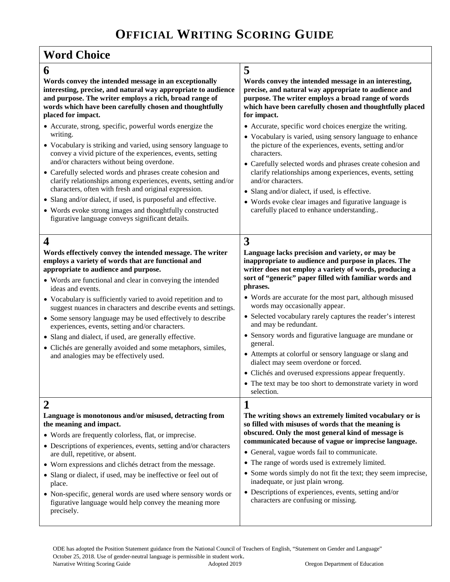$\mathbf{r}$ 

| <b>Word Choice</b>                                                                                                                                                                                                                                                                                                                                                                                                                                                                                                                                                                                                                                                         |                                                                                                                                                                                                                                                                                                                                                                                                                                                                                                                                                                                                                                                                                                                                                  |
|----------------------------------------------------------------------------------------------------------------------------------------------------------------------------------------------------------------------------------------------------------------------------------------------------------------------------------------------------------------------------------------------------------------------------------------------------------------------------------------------------------------------------------------------------------------------------------------------------------------------------------------------------------------------------|--------------------------------------------------------------------------------------------------------------------------------------------------------------------------------------------------------------------------------------------------------------------------------------------------------------------------------------------------------------------------------------------------------------------------------------------------------------------------------------------------------------------------------------------------------------------------------------------------------------------------------------------------------------------------------------------------------------------------------------------------|
| 6                                                                                                                                                                                                                                                                                                                                                                                                                                                                                                                                                                                                                                                                          | 5                                                                                                                                                                                                                                                                                                                                                                                                                                                                                                                                                                                                                                                                                                                                                |
| Words convey the intended message in an exceptionally<br>interesting, precise, and natural way appropriate to audience<br>and purpose. The writer employs a rich, broad range of<br>words which have been carefully chosen and thoughtfully<br>placed for impact.                                                                                                                                                                                                                                                                                                                                                                                                          | Words convey the intended message in an interesting,<br>precise, and natural way appropriate to audience and<br>purpose. The writer employs a broad range of words<br>which have been carefully chosen and thoughtfully placed<br>for impact.                                                                                                                                                                                                                                                                                                                                                                                                                                                                                                    |
| • Accurate, strong, specific, powerful words energize the<br>writing.<br>• Vocabulary is striking and varied, using sensory language to<br>convey a vivid picture of the experiences, events, setting<br>and/or characters without being overdone.<br>• Carefully selected words and phrases create cohesion and<br>clarify relationships among experiences, events, setting and/or<br>characters, often with fresh and original expression.<br>• Slang and/or dialect, if used, is purposeful and effective.<br>• Words evoke strong images and thoughtfully constructed<br>figurative language conveys significant details.                                              | • Accurate, specific word choices energize the writing.<br>• Vocabulary is varied, using sensory language to enhance<br>the picture of the experiences, events, setting and/or<br>characters.<br>• Carefully selected words and phrases create cohesion and<br>clarify relationships among experiences, events, setting<br>and/or characters.<br>• Slang and/or dialect, if used, is effective.<br>• Words evoke clear images and figurative language is<br>carefully placed to enhance understanding                                                                                                                                                                                                                                            |
| 4<br>Words effectively convey the intended message. The writer<br>employs a variety of words that are functional and<br>appropriate to audience and purpose.<br>• Words are functional and clear in conveying the intended<br>ideas and events.<br>• Vocabulary is sufficiently varied to avoid repetition and to<br>suggest nuances in characters and describe events and settings.<br>• Some sensory language may be used effectively to describe<br>experiences, events, setting and/or characters.<br>• Slang and dialect, if used, are generally effective.<br>• Clichés are generally avoided and some metaphors, similes,<br>and analogies may be effectively used. | 3<br>Language lacks precision and variety, or may be<br>inappropriate to audience and purpose in places. The<br>writer does not employ a variety of words, producing a<br>sort of "generic" paper filled with familiar words and<br>phrases.<br>• Words are accurate for the most part, although misused<br>words may occasionally appear.<br>• Selected vocabulary rarely captures the reader's interest<br>and may be redundant.<br>• Sensory words and figurative language are mundane or<br>general.<br>• Attempts at colorful or sensory language or slang and<br>dialect may seem overdone or forced.<br>• Clichés and overused expressions appear frequently.<br>• The text may be too short to demonstrate variety in word<br>selection. |
| 2<br>Language is monotonous and/or misused, detracting from<br>the meaning and impact.<br>• Words are frequently colorless, flat, or imprecise.<br>• Descriptions of experiences, events, setting and/or characters<br>are dull, repetitive, or absent.<br>• Worn expressions and clichés detract from the message.<br>· Slang or dialect, if used, may be ineffective or feel out of<br>place.<br>• Non-specific, general words are used where sensory words or<br>figurative language would help convey the meaning more<br>precisely.                                                                                                                                   | 1<br>The writing shows an extremely limited vocabulary or is<br>so filled with misuses of words that the meaning is<br>obscured. Only the most general kind of message is<br>communicated because of vague or imprecise language.<br>• General, vague words fail to communicate.<br>• The range of words used is extremely limited.<br>• Some words simply do not fit the text; they seem imprecise,<br>inadequate, or just plain wrong.<br>• Descriptions of experiences, events, setting and/or<br>characters are confusing or missing.                                                                                                                                                                                                        |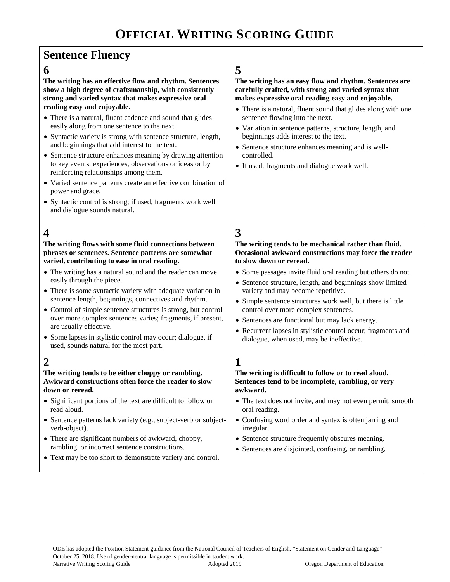# **OFFICIAL WRITING SCORING GUIDE**

| <b>Sentence Fluency</b>                                                                                                                                                                                                                                                                                                                                                                                                                                                                                                                                                                                                                                                                                                                                                                            |                                                                                                                                                                                                                                                                                                                                                                                                                                                                                                                                                                                         |  |
|----------------------------------------------------------------------------------------------------------------------------------------------------------------------------------------------------------------------------------------------------------------------------------------------------------------------------------------------------------------------------------------------------------------------------------------------------------------------------------------------------------------------------------------------------------------------------------------------------------------------------------------------------------------------------------------------------------------------------------------------------------------------------------------------------|-----------------------------------------------------------------------------------------------------------------------------------------------------------------------------------------------------------------------------------------------------------------------------------------------------------------------------------------------------------------------------------------------------------------------------------------------------------------------------------------------------------------------------------------------------------------------------------------|--|
| 6<br>The writing has an effective flow and rhythm. Sentences<br>show a high degree of craftsmanship, with consistently<br>strong and varied syntax that makes expressive oral<br>reading easy and enjoyable.<br>• There is a natural, fluent cadence and sound that glides<br>easily along from one sentence to the next.<br>• Syntactic variety is strong with sentence structure, length,<br>and beginnings that add interest to the text.<br>• Sentence structure enhances meaning by drawing attention<br>to key events, experiences, observations or ideas or by<br>reinforcing relationships among them.<br>• Varied sentence patterns create an effective combination of<br>power and grace.<br>• Syntactic control is strong; if used, fragments work well<br>and dialogue sounds natural. | 5<br>The writing has an easy flow and rhythm. Sentences are<br>carefully crafted, with strong and varied syntax that<br>makes expressive oral reading easy and enjoyable.<br>• There is a natural, fluent sound that glides along with one<br>sentence flowing into the next.<br>· Variation in sentence patterns, structure, length, and<br>beginnings adds interest to the text.<br>• Sentence structure enhances meaning and is well-<br>controlled.<br>• If used, fragments and dialogue work well.                                                                                 |  |
| $\boldsymbol{4}$<br>The writing flows with some fluid connections between<br>phrases or sentences. Sentence patterns are somewhat<br>varied, contributing to ease in oral reading.<br>• The writing has a natural sound and the reader can move<br>easily through the piece.<br>• There is some syntactic variety with adequate variation in<br>sentence length, beginnings, connectives and rhythm.<br>• Control of simple sentence structures is strong, but control<br>over more complex sentences varies; fragments, if present,<br>are usually effective.<br>• Some lapses in stylistic control may occur; dialogue, if<br>used, sounds natural for the most part.                                                                                                                            | 3<br>The writing tends to be mechanical rather than fluid.<br>Occasional awkward constructions may force the reader<br>to slow down or reread.<br>• Some passages invite fluid oral reading but others do not.<br>• Sentence structure, length, and beginnings show limited<br>variety and may become repetitive.<br>• Simple sentence structures work well, but there is little<br>control over more complex sentences.<br>• Sentences are functional but may lack energy.<br>• Recurrent lapses in stylistic control occur; fragments and<br>dialogue, when used, may be ineffective. |  |
| $\overline{2}$<br>The writing tends to be either choppy or rambling.<br>Awkward constructions often force the reader to slow<br>down or reread.<br>• Significant portions of the text are difficult to follow or<br>read aloud.<br>• Sentence patterns lack variety (e.g., subject-verb or subject-<br>verb-object).<br>• There are significant numbers of awkward, choppy,<br>rambling, or incorrect sentence constructions.<br>• Text may be too short to demonstrate variety and control.                                                                                                                                                                                                                                                                                                       | 1<br>The writing is difficult to follow or to read aloud.<br>Sentences tend to be incomplete, rambling, or very<br>awkward.<br>• The text does not invite, and may not even permit, smooth<br>oral reading.<br>• Confusing word order and syntax is often jarring and<br>irregular.<br>• Sentence structure frequently obscures meaning.<br>• Sentences are disjointed, confusing, or rambling.                                                                                                                                                                                         |  |